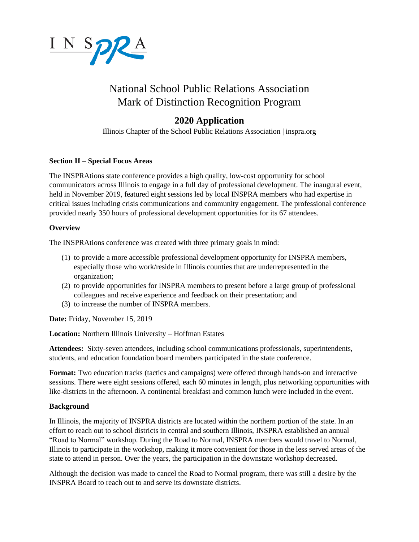

# National School Public Relations Association Mark of Distinction Recognition Program

# **2020 Application**

Illinois Chapter of the School Public Relations Association | inspra.org

#### **Section II – Special Focus Areas**

The INSPRAtions state conference provides a high quality, low-cost opportunity for school communicators across Illinois to engage in a full day of professional development. The inaugural event, held in November 2019, featured eight sessions led by local INSPRA members who had expertise in critical issues including crisis communications and community engagement. The professional conference provided nearly 350 hours of professional development opportunities for its 67 attendees.

#### **Overview**

The INSPRAtions conference was created with three primary goals in mind:

- (1) to provide a more accessible professional development opportunity for INSPRA members, especially those who work/reside in Illinois counties that are underrepresented in the organization;
- (2) to provide opportunities for INSPRA members to present before a large group of professional colleagues and receive experience and feedback on their presentation; and
- (3) to increase the number of INSPRA members.

**Date:** Friday, November 15, 2019

**Location:** Northern Illinois University – Hoffman Estates

**Attendees:** Sixty-seven attendees, including school communications professionals, superintendents, students, and education foundation board members participated in the state conference.

**Format:** Two education tracks (tactics and campaigns) were offered through hands-on and interactive sessions. There were eight sessions offered, each 60 minutes in length, plus networking opportunities with like-districts in the afternoon. A continental breakfast and common lunch were included in the event.

## **Background**

In Illinois, the majority of INSPRA districts are located within the northern portion of the state. In an effort to reach out to school districts in central and southern Illinois, INSPRA established an annual "Road to Normal" workshop. During the Road to Normal, INSPRA members would travel to Normal, Illinois to participate in the workshop, making it more convenient for those in the less served areas of the state to attend in person. Over the years, the participation in the downstate workshop decreased.

Although the decision was made to cancel the Road to Normal program, there was still a desire by the INSPRA Board to reach out to and serve its downstate districts.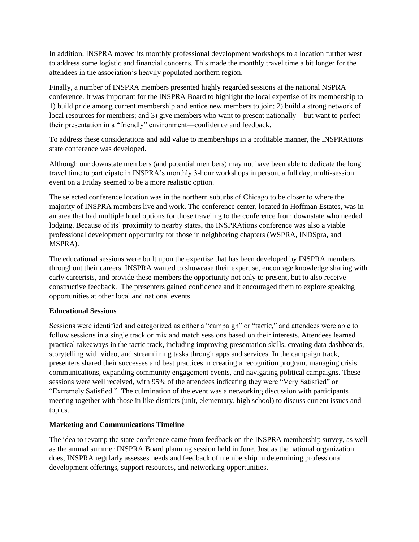In addition, INSPRA moved its monthly professional development workshops to a location further west to address some logistic and financial concerns. This made the monthly travel time a bit longer for the attendees in the association's heavily populated northern region.

Finally, a number of INSPRA members presented highly regarded sessions at the national NSPRA conference. It was important for the INSPRA Board to highlight the local expertise of its membership to 1) build pride among current membership and entice new members to join; 2) build a strong network of local resources for members; and 3) give members who want to present nationally—but want to perfect their presentation in a "friendly" environment—confidence and feedback.

To address these considerations and add value to memberships in a profitable manner, the INSPRAtions state conference was developed.

Although our downstate members (and potential members) may not have been able to dedicate the long travel time to participate in INSPRA's monthly 3-hour workshops in person, a full day, multi-session event on a Friday seemed to be a more realistic option.

The selected conference location was in the northern suburbs of Chicago to be closer to where the majority of INSPRA members live and work. The conference center, located in Hoffman Estates, was in an area that had multiple hotel options for those traveling to the conference from downstate who needed lodging. Because of its' proximity to nearby states, the INSPRAtions conference was also a viable professional development opportunity for those in neighboring chapters (WSPRA, INDSpra, and MSPRA).

The educational sessions were built upon the expertise that has been developed by INSPRA members throughout their careers. INSPRA wanted to showcase their expertise, encourage knowledge sharing with early careerists, and provide these members the opportunity not only to present, but to also receive constructive feedback. The presenters gained confidence and it encouraged them to explore speaking opportunities at other local and national events.

#### **Educational Sessions**

Sessions were identified and categorized as either a "campaign" or "tactic," and attendees were able to follow sessions in a single track or mix and match sessions based on their interests. Attendees learned practical takeaways in the tactic track, including improving presentation skills, creating data dashboards, storytelling with video, and streamlining tasks through apps and services. In the campaign track, presenters shared their successes and best practices in creating a recognition program, managing crisis communications, expanding community engagement events, and navigating political campaigns. These sessions were well received, with 95% of the attendees indicating they were "Very Satisfied" or "Extremely Satisfied." The culmination of the event was a networking discussion with participants meeting together with those in like districts (unit, elementary, high school) to discuss current issues and topics.

#### **Marketing and Communications Timeline**

The idea to revamp the state conference came from feedback on the INSPRA membership survey, as well as the annual summer INSPRA Board planning session held in June. Just as the national organization does, INSPRA regularly assesses needs and feedback of membership in determining professional development offerings, support resources, and networking opportunities.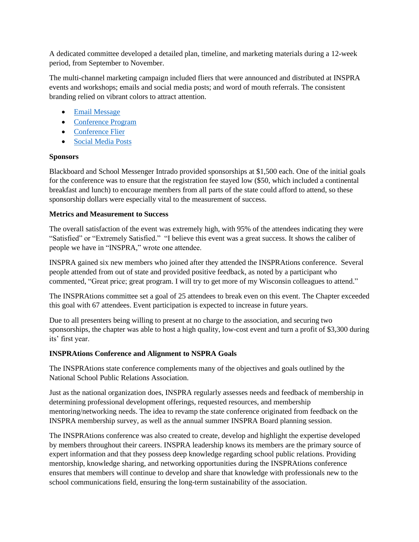A dedicated committee developed a detailed plan, timeline, and marketing materials during a 12-week period, from September to November.

The multi-channel marketing campaign included fliers that were announced and distributed at INSPRA events and workshops; emails and social media posts; and word of mouth referrals. The consistent branding relied on vibrant colors to attract attention.

- [Email Message](https://inspra.memberclicks.net/assets/docs/INSPRAtions%20Conference%20Email.pdf)
- [Conference Program](https://inspra.memberclicks.net/assets/docs/Program%20for%20INSPRAtions%20conference%202019.pdf)
- [Conference Flier](https://inspra.memberclicks.net/assets/docs/INSPRAtions%20conference.pdf)
- [Social Media Posts](https://inspra.memberclicks.net/assets/images/INSPRAtions%20Social%20Media%20Posts.PNG)

#### **Sponsors**

Blackboard and School Messenger Intrado provided sponsorships at \$1,500 each. One of the initial goals for the conference was to ensure that the registration fee stayed low (\$50, which included a continental breakfast and lunch) to encourage members from all parts of the state could afford to attend, so these sponsorship dollars were especially vital to the measurement of success.

#### **Metrics and Measurement to Success**

The overall satisfaction of the event was extremely high, with 95% of the attendees indicating they were "Satisfied" or "Extremely Satisfied." "I believe this event was a great success. It shows the caliber of people we have in "INSPRA," wrote one attendee.

INSPRA gained six new members who joined after they attended the INSPRAtions conference. Several people attended from out of state and provided positive feedback, as noted by a participant who commented, "Great price; great program. I will try to get more of my Wisconsin colleagues to attend."

The INSPRAtions committee set a goal of 25 attendees to break even on this event. The Chapter exceeded this goal with 67 attendees. Event participation is expected to increase in future years.

Due to all presenters being willing to present at no charge to the association, and securing two sponsorships, the chapter was able to host a high quality, low-cost event and turn a profit of \$3,300 during its' first year.

## **INSPRAtions Conference and Alignment to NSPRA Goals**

The INSPRAtions state conference complements many of the objectives and goals outlined by the National School Public Relations Association.

Just as the national organization does, INSPRA regularly assesses needs and feedback of membership in determining professional development offerings, requested resources, and membership mentoring/networking needs. The idea to revamp the state conference originated from feedback on the INSPRA membership survey, as well as the annual summer INSPRA Board planning session.

The INSPRAtions conference was also created to create, develop and highlight the expertise developed by members throughout their careers. INSPRA leadership knows its members are the primary source of expert information and that they possess deep knowledge regarding school public relations. Providing mentorship, knowledge sharing, and networking opportunities during the INSPRAtions conference ensures that members will continue to develop and share that knowledge with professionals new to the school communications field, ensuring the long-term sustainability of the association.